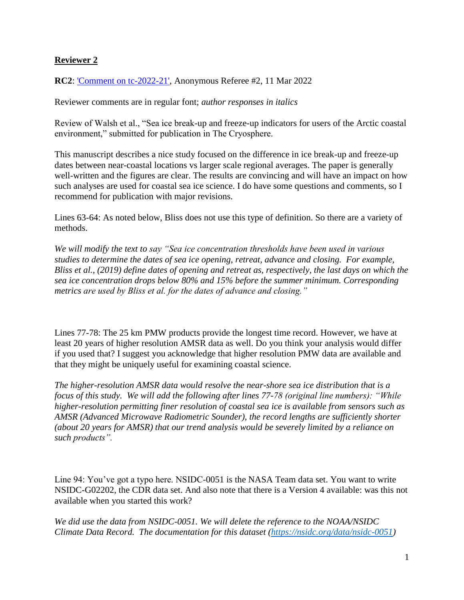## **Reviewer 2**

**RC2**: ['Comment on tc-2022-21',](https://tc.copernicus.org/#RC2) Anonymous Referee #2, 11 Mar 2022

Reviewer comments are in regular font; *author responses in italics*

Review of Walsh et al., "Sea ice break-up and freeze-up indicators for users of the Arctic coastal environment," submitted for publication in The Cryosphere.

This manuscript describes a nice study focused on the difference in ice break-up and freeze-up dates between near-coastal locations vs larger scale regional averages. The paper is generally well-written and the figures are clear. The results are convincing and will have an impact on how such analyses are used for coastal sea ice science. I do have some questions and comments, so I recommend for publication with major revisions.

Lines 63-64: As noted below, Bliss does not use this type of definition. So there are a variety of methods.

*We will modify the text to say "Sea ice concentration thresholds have been used in various studies to determine the dates of sea ice opening, retreat, advance and closing. For example, Bliss et al., (2019) define dates of opening and retreat as, respectively, the last days on which the sea ice concentration drops below 80% and 15% before the summer minimum. Corresponding metrics are used by Bliss et al. for the dates of advance and closing."*

Lines 77-78: The 25 km PMW products provide the longest time record. However, we have at least 20 years of higher resolution AMSR data as well. Do you think your analysis would differ if you used that? I suggest you acknowledge that higher resolution PMW data are available and that they might be uniquely useful for examining coastal science.

*The higher-resolution AMSR data would resolve the near-shore sea ice distribution that is a focus of this study. We will add the following after lines 77-78 (original line numbers): "While higher-resolution permitting finer resolution of coastal sea ice is available from sensors such as AMSR (Advanced Microwave Radiometric Sounder), the record lengths are sufficiently shorter (about 20 years for AMSR) that our trend analysis would be severely limited by a reliance on such products".*

Line 94: You've got a typo here. NSIDC-0051 is the NASA Team data set. You want to write NSIDC-G02202, the CDR data set. And also note that there is a Version 4 available: was this not available when you started this work?

*We did use the data from NSIDC-0051. We will delete the reference to the NOAA/NSIDC Climate Data Record. The documentation for this dataset [\(https://nsidc.org/data/nsidc-0051\)](https://nsidc.org/data/nsidc-0051)*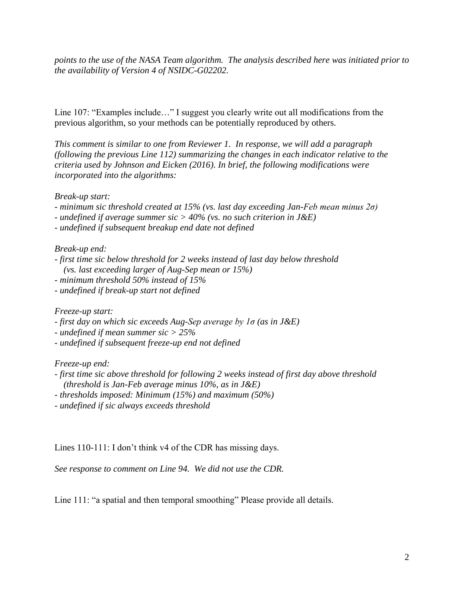*points to the use of the NASA Team algorithm. The analysis described here was initiated prior to the availability of Version 4 of NSIDC-G02202.*

Line 107: "Examples include…" I suggest you clearly write out all modifications from the previous algorithm, so your methods can be potentially reproduced by others.

*This comment is similar to one from Reviewer 1. In response, we will add a paragraph (following the previous Line 112) summarizing the changes in each indicator relative to the criteria used by Johnson and Eicken (2016). In brief, the following modifications were incorporated into the algorithms:*

*Break-up start:*

- *- minimum sic threshold created at 15% (vs. last day exceeding Jan-Feb mean minus 2σ)*
- *- undefined if average summer sic > 40% (vs. no such criterion in J&E)*
- *- undefined if subsequent breakup end date not defined*

## *Break-up end:*

- *- first time sic below threshold for 2 weeks instead of last day below threshold (vs. last exceeding larger of Aug-Sep mean or 15%)*
- *- minimum threshold 50% instead of 15%*
- *- undefined if break-up start not defined*

*Freeze-up start:*

- *- first day on which sic exceeds Aug-Sep average by 1σ (as in J&E)*
- *- undefined if mean summer sic > 25%*
- *- undefined if subsequent freeze-up end not defined*

## *Freeze-up end:*

- *- first time sic above threshold for following 2 weeks instead of first day above threshold (threshold is Jan-Feb average minus 10%, as in J&E)*
- *- thresholds imposed: Minimum (15%) and maximum (50%)*
- *- undefined if sic always exceeds threshold*

Lines 110-111: I don't think v4 of the CDR has missing days.

*See response to comment on Line 94. We did not use the CDR.*

Line 111: "a spatial and then temporal smoothing" Please provide all details.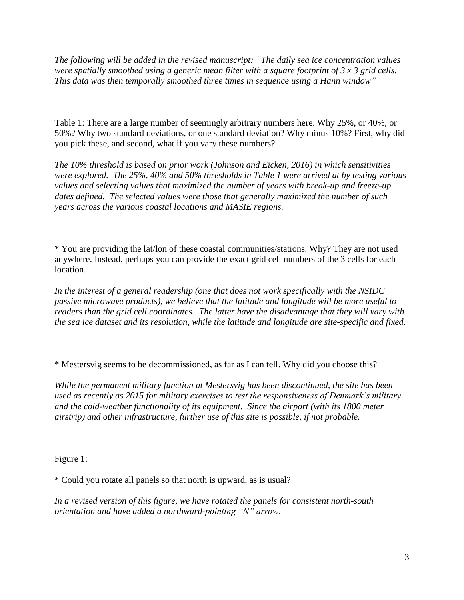*The following will be added in the revised manuscript: "The daily sea ice concentration values were spatially smoothed using a generic mean filter with a square footprint of 3 x 3 grid cells. This data was then temporally smoothed three times in sequence using a Hann window"*

Table 1: There are a large number of seemingly arbitrary numbers here. Why 25%, or 40%, or 50%? Why two standard deviations, or one standard deviation? Why minus 10%? First, why did you pick these, and second, what if you vary these numbers?

*The 10% threshold is based on prior work (Johnson and Eicken, 2016) in which sensitivities were explored. The 25%, 40% and 50% thresholds in Table 1 were arrived at by testing various values and selecting values that maximized the number of years with break-up and freeze-up dates defined. The selected values were those that generally maximized the number of such years across the various coastal locations and MASIE regions.*

\* You are providing the lat/lon of these coastal communities/stations. Why? They are not used anywhere. Instead, perhaps you can provide the exact grid cell numbers of the 3 cells for each location.

*In the interest of a general readership (one that does not work specifically with the NSIDC passive microwave products), we believe that the latitude and longitude will be more useful to readers than the grid cell coordinates. The latter have the disadvantage that they will vary with the sea ice dataset and its resolution, while the latitude and longitude are site-specific and fixed.*

\* Mestersvig seems to be decommissioned, as far as I can tell. Why did you choose this?

*While the permanent military function at Mestersvig has been discontinued, the site has been used as recently as 2015 for military exercises to test the responsiveness of Denmark's military and the cold-weather functionality of its equipment. Since the airport (with its 1800 meter airstrip) and other infrastructure, further use of this site is possible, if not probable.*

Figure 1:

\* Could you rotate all panels so that north is upward, as is usual?

*In a revised version of this figure, we have rotated the panels for consistent north-south orientation and have added a northward-pointing "N" arrow.*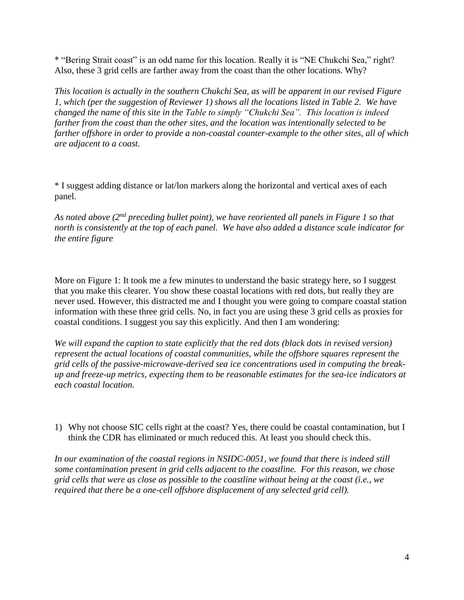\* "Bering Strait coast" is an odd name for this location. Really it is "NE Chukchi Sea," right? Also, these 3 grid cells are farther away from the coast than the other locations. Why?

*This location is actually in the southern Chukchi Sea, as will be apparent in our revised Figure 1, which (per the suggestion of Reviewer 1) shows all the locations listed in Table 2. We have changed the name of this site in the Table to simply "Chukchi Sea". This location is indeed farther from the coast than the other sites, and the location was intentionally selected to be farther offshore in order to provide a non-coastal counter-example to the other sites, all of which are adjacent to a coast.*

\* I suggest adding distance or lat/lon markers along the horizontal and vertical axes of each panel.

*As noted above (2nd preceding bullet point), we have reoriented all panels in Figure 1 so that north is consistently at the top of each panel. We have also added a distance scale indicator for the entire figure*

More on Figure 1: It took me a few minutes to understand the basic strategy here, so I suggest that you make this clearer. You show these coastal locations with red dots, but really they are never used. However, this distracted me and I thought you were going to compare coastal station information with these three grid cells. No, in fact you are using these 3 grid cells as proxies for coastal conditions. I suggest you say this explicitly. And then I am wondering:

*We will expand the caption to state explicitly that the red dots (black dots in revised version) represent the actual locations of coastal communities, while the offshore squares represent the grid cells of the passive-microwave-derived sea ice concentrations used in computing the breakup and freeze-up metrics, expecting them to be reasonable estimates for the sea-ice indicators at each coastal location.*

1) Why not choose SIC cells right at the coast? Yes, there could be coastal contamination, but I think the CDR has eliminated or much reduced this. At least you should check this.

*In our examination of the coastal regions in NSIDC-0051, we found that there is indeed still some contamination present in grid cells adjacent to the coastline. For this reason, we chose grid cells that were as close as possible to the coastline without being at the coast (i.e., we required that there be a one-cell offshore displacement of any selected grid cell).*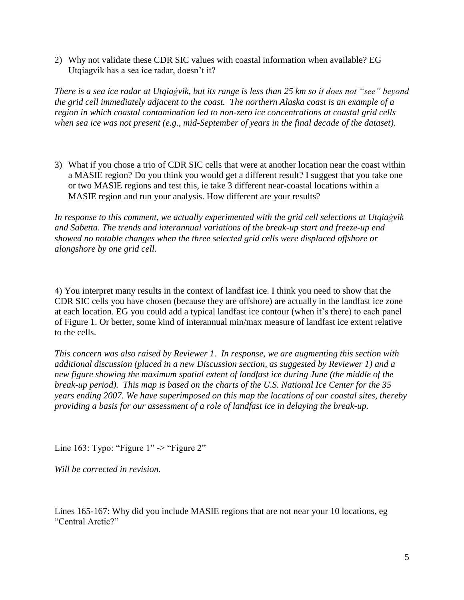2) Why not validate these CDR SIC values with coastal information when available? EG Utqiagvik has a sea ice radar, doesn't it?

*There is a sea ice radar at Utqiaġvik, but its range is less than 25 km so it does not "see" beyond the grid cell immediately adjacent to the coast. The northern Alaska coast is an example of a region in which coastal contamination led to non-zero ice concentrations at coastal grid cells when sea ice was not present (e.g., mid-September of years in the final decade of the dataset).*

3) What if you chose a trio of CDR SIC cells that were at another location near the coast within a MASIE region? Do you think you would get a different result? I suggest that you take one or two MASIE regions and test this, ie take 3 different near-coastal locations within a MASIE region and run your analysis. How different are your results?

*In response to this comment, we actually experimented with the grid cell selections at Utqiaġvik and Sabetta. The trends and interannual variations of the break-up start and freeze-up end showed no notable changes when the three selected grid cells were displaced offshore or alongshore by one grid cell.*

4) You interpret many results in the context of landfast ice. I think you need to show that the CDR SIC cells you have chosen (because they are offshore) are actually in the landfast ice zone at each location. EG you could add a typical landfast ice contour (when it's there) to each panel of Figure 1. Or better, some kind of interannual min/max measure of landfast ice extent relative to the cells.

*This concern was also raised by Reviewer 1. In response, we are augmenting this section with additional discussion (placed in a new Discussion section, as suggested by Reviewer 1) and a new figure showing the maximum spatial extent of landfast ice during June (the middle of the break-up period). This map is based on the charts of the U.S. National Ice Center for the 35 years ending 2007. We have superimposed on this map the locations of our coastal sites, thereby providing a basis for our assessment of a role of landfast ice in delaying the break-up.*

Line 163: Typo: "Figure  $1"$  -> "Figure  $2"$ 

*Will be corrected in revision.*

Lines 165-167: Why did you include MASIE regions that are not near your 10 locations, eg "Central Arctic?"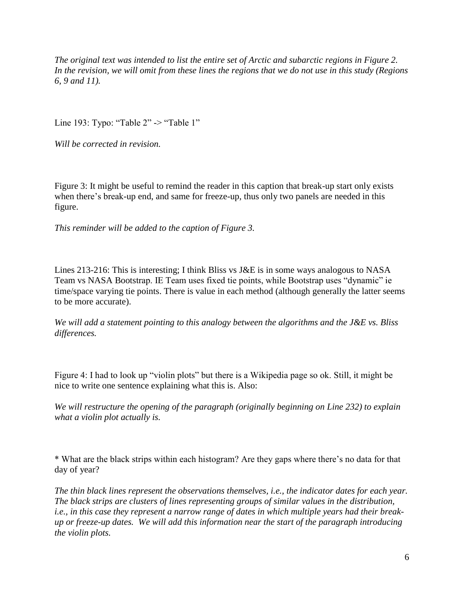*The original text was intended to list the entire set of Arctic and subarctic regions in Figure 2. In the revision, we will omit from these lines the regions that we do not use in this study (Regions 6, 9 and 11).*

Line 193: Typo: "Table 2" -> "Table 1"

*Will be corrected in revision.*

Figure 3: It might be useful to remind the reader in this caption that break-up start only exists when there's break-up end, and same for freeze-up, thus only two panels are needed in this figure.

*This reminder will be added to the caption of Figure 3.*

Lines 213-216: This is interesting; I think Bliss vs J&E is in some ways analogous to NASA Team vs NASA Bootstrap. IE Team uses fixed tie points, while Bootstrap uses "dynamic" ie time/space varying tie points. There is value in each method (although generally the latter seems to be more accurate).

*We will add a statement pointing to this analogy between the algorithms and the J&E vs. Bliss differences.*

Figure 4: I had to look up "violin plots" but there is a Wikipedia page so ok. Still, it might be nice to write one sentence explaining what this is. Also:

*We will restructure the opening of the paragraph (originally beginning on Line 232) to explain what a violin plot actually is.*

\* What are the black strips within each histogram? Are they gaps where there's no data for that day of year?

*The thin black lines represent the observations themselves, i.e., the indicator dates for each year. The black strips are clusters of lines representing groups of similar values in the distribution, i.e., in this case they represent a narrow range of dates in which multiple years had their breakup or freeze-up dates. We will add this information near the start of the paragraph introducing the violin plots.*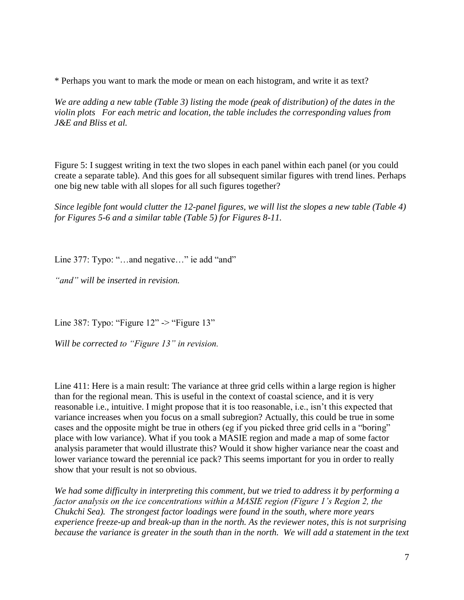\* Perhaps you want to mark the mode or mean on each histogram, and write it as text?

*We are adding a new table (Table 3) listing the mode (peak of distribution) of the dates in the violin plots For each metric and location, the table includes the corresponding values from J&E and Bliss et al.*

Figure 5: I suggest writing in text the two slopes in each panel within each panel (or you could create a separate table). And this goes for all subsequent similar figures with trend lines. Perhaps one big new table with all slopes for all such figures together?

*Since legible font would clutter the 12-panel figures, we will list the slopes a new table (Table 4) for Figures 5-6 and a similar table (Table 5) for Figures 8-11.*

Line 377: Typo: "...and negative..." ie add "and"

*"and" will be inserted in revision.*

Line 387: Typo: "Figure 12" -> "Figure 13"

*Will be corrected to "Figure 13" in revision.*

Line 411: Here is a main result: The variance at three grid cells within a large region is higher than for the regional mean. This is useful in the context of coastal science, and it is very reasonable i.e., intuitive. I might propose that it is too reasonable, i.e., isn't this expected that variance increases when you focus on a small subregion? Actually, this could be true in some cases and the opposite might be true in others (eg if you picked three grid cells in a "boring" place with low variance). What if you took a MASIE region and made a map of some factor analysis parameter that would illustrate this? Would it show higher variance near the coast and lower variance toward the perennial ice pack? This seems important for you in order to really show that your result is not so obvious.

*We had some difficulty in interpreting this comment, but we tried to address it by performing a factor analysis on the ice concentrations within a MASIE region (Figure 1's Region 2, the Chukchi Sea). The strongest factor loadings were found in the south, where more years experience freeze-up and break-up than in the north. As the reviewer notes, this is not surprising because the variance is greater in the south than in the north. We will add a statement in the text*